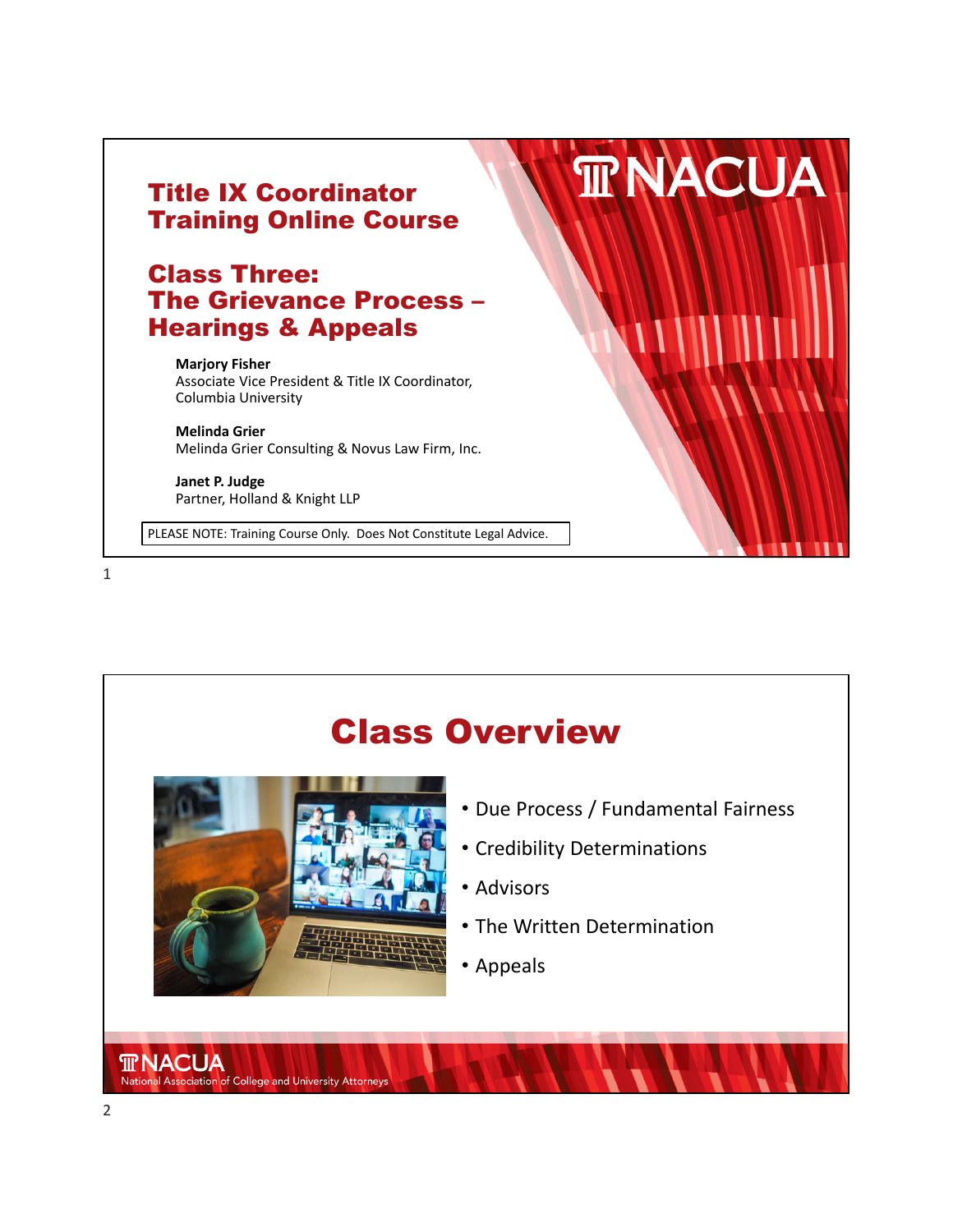



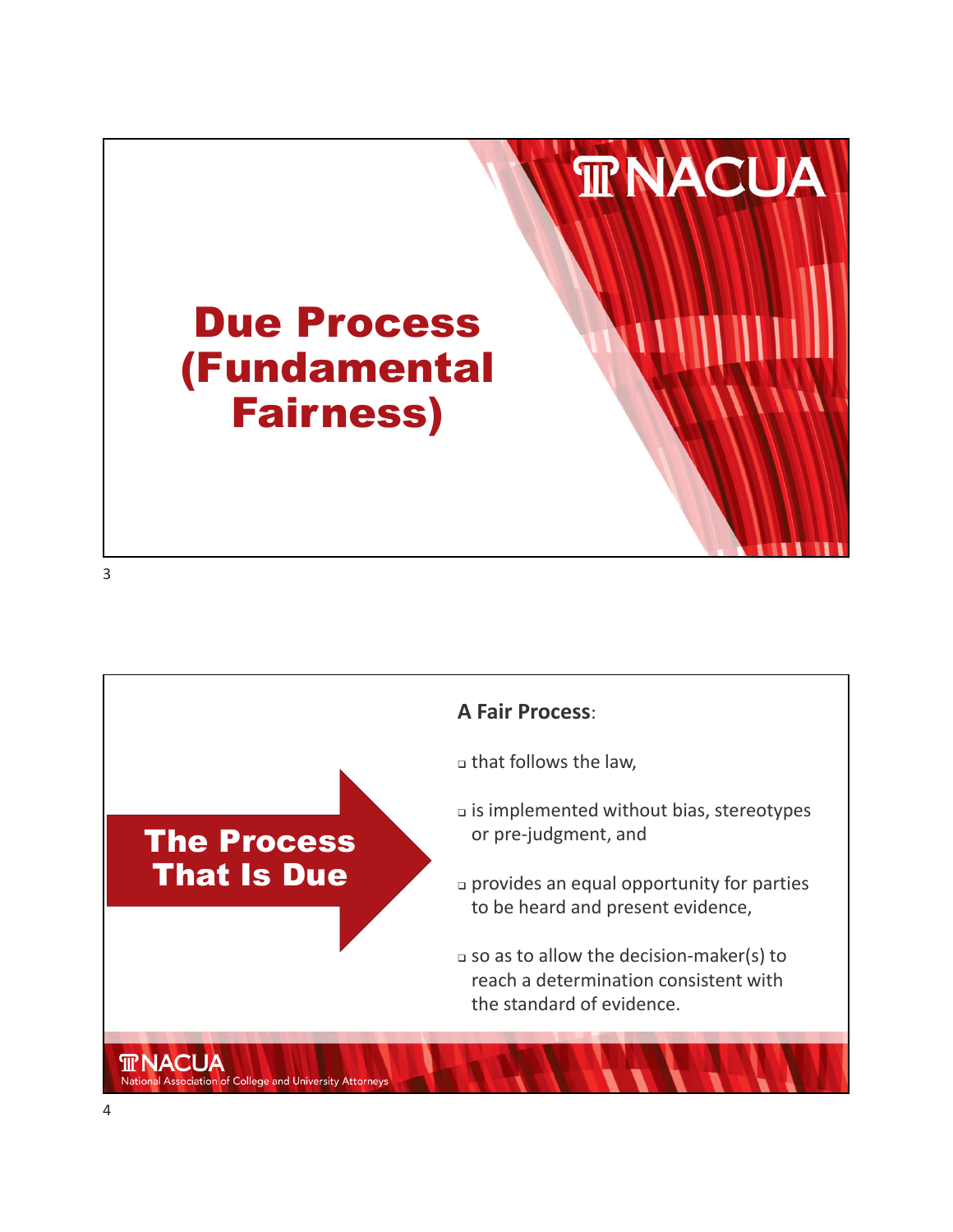

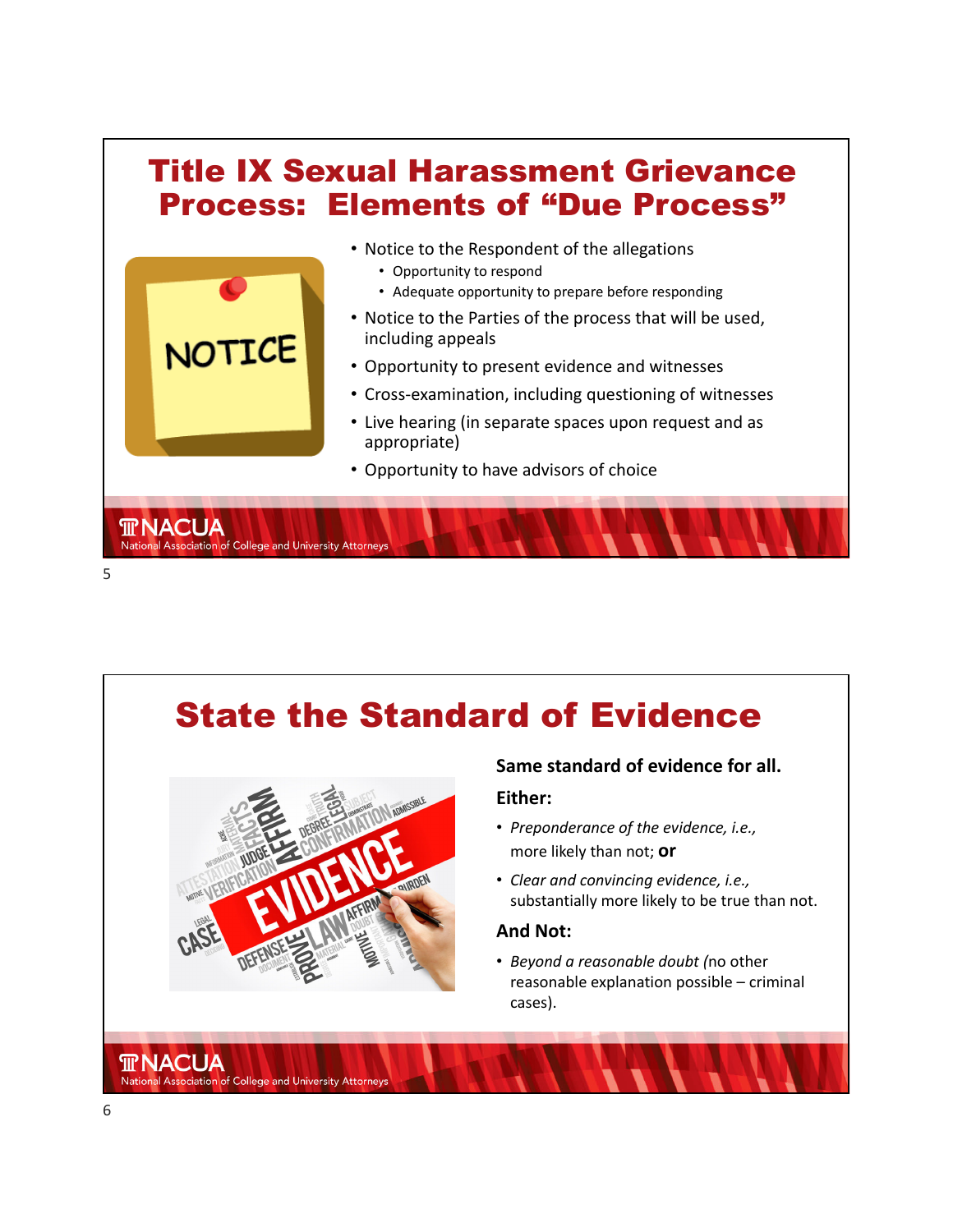

# State the Standard of Evidence



#### **Same standard of evidence for all.**

#### **Either:**

- *Preponderance of the evidence, i.e.,* more likely than not; **or**
- *Clear and convincing evidence, i.e.,* substantially more likely to be true than not.

### **And Not:**

• *Beyond a reasonable doubt (*no other reasonable explanation possible – criminal cases).

**TRNACUA** 

National Association of College and University Attorneys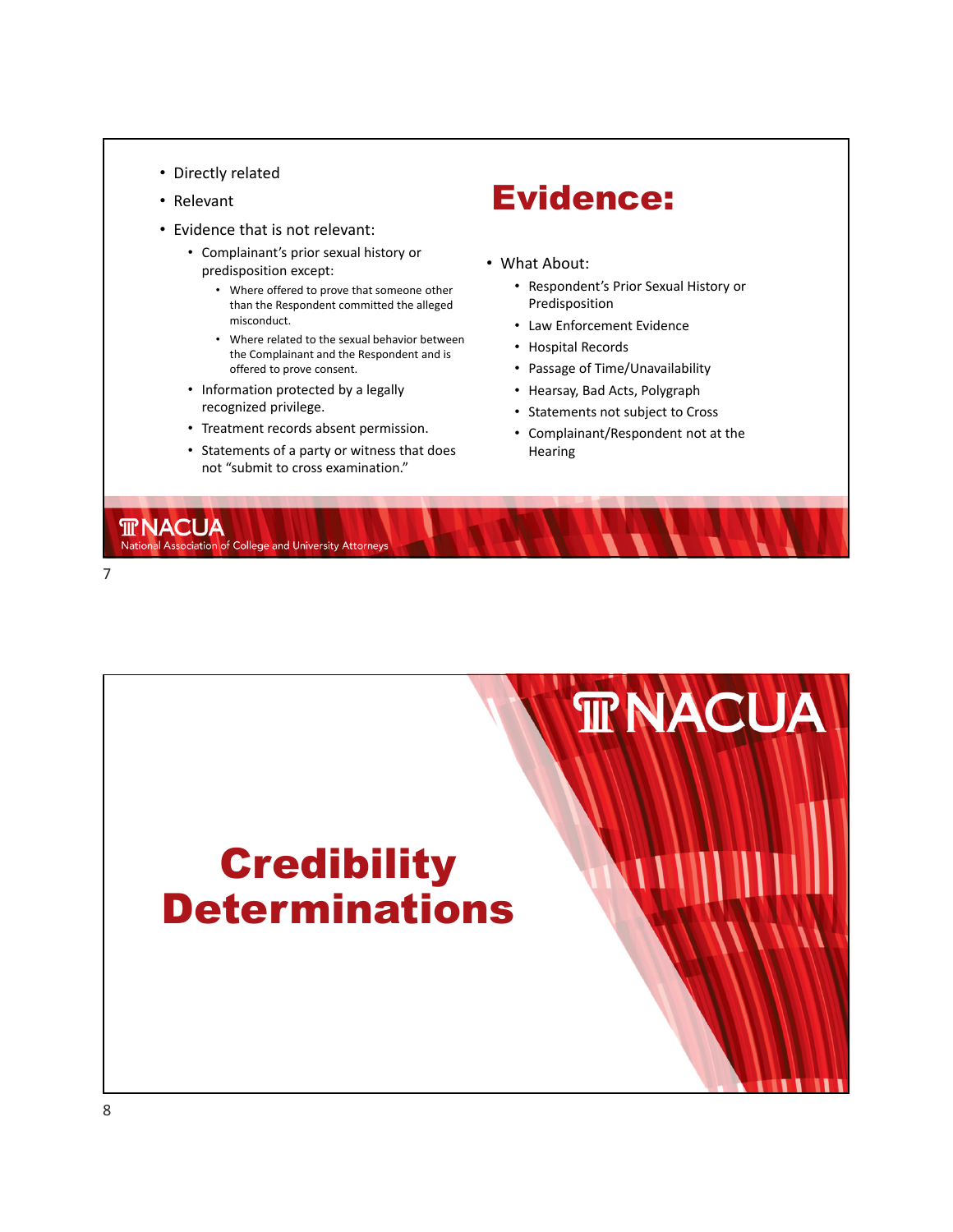- 
- Relevant
- Evidence that is not relevant:
	- Complainant's prior sexual history or predisposition except:
		- Where offered to prove that someone other than the Respondent committed the alleged misconduct.
		- Where related to the sexual behavior between the Complainant and the Respondent and is offered to prove consent.
	- Information protected by a legally recognized privilege.
	- Treatment records absent permission.
	- Statements of a party or witness that does not "submit to cross examination."

# • Directly related<br>• Relevant **Evidence:**

- What About:
	- Respondent's Prior Sexual History or Predisposition
	- Law Enforcement Evidence
	- Hospital Records
	- Passage of Time/Unavailability
	- Hearsay, Bad Acts, Polygraph
	- Statements not subject to Cross
	- Complainant/Respondent not at the Hearing





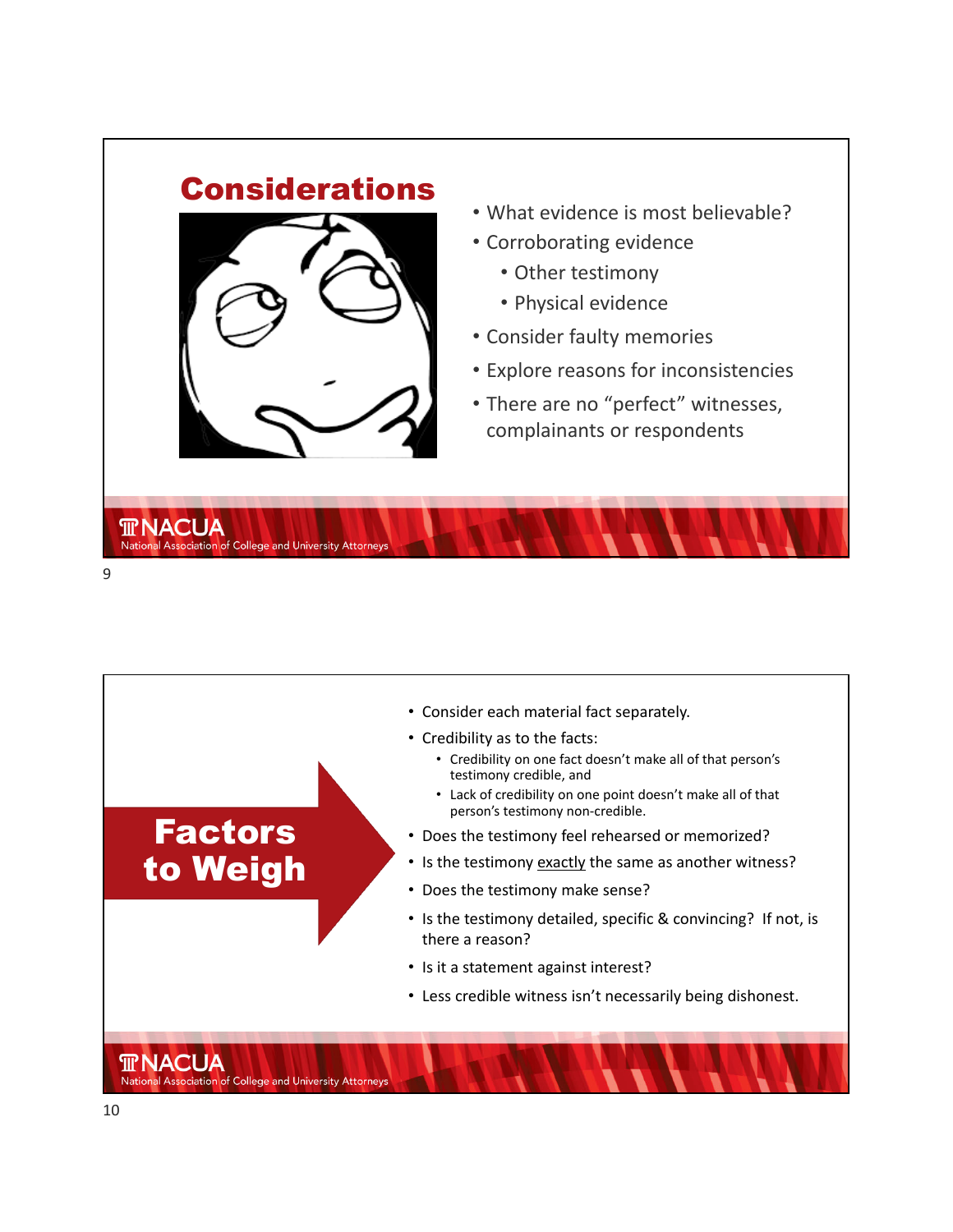

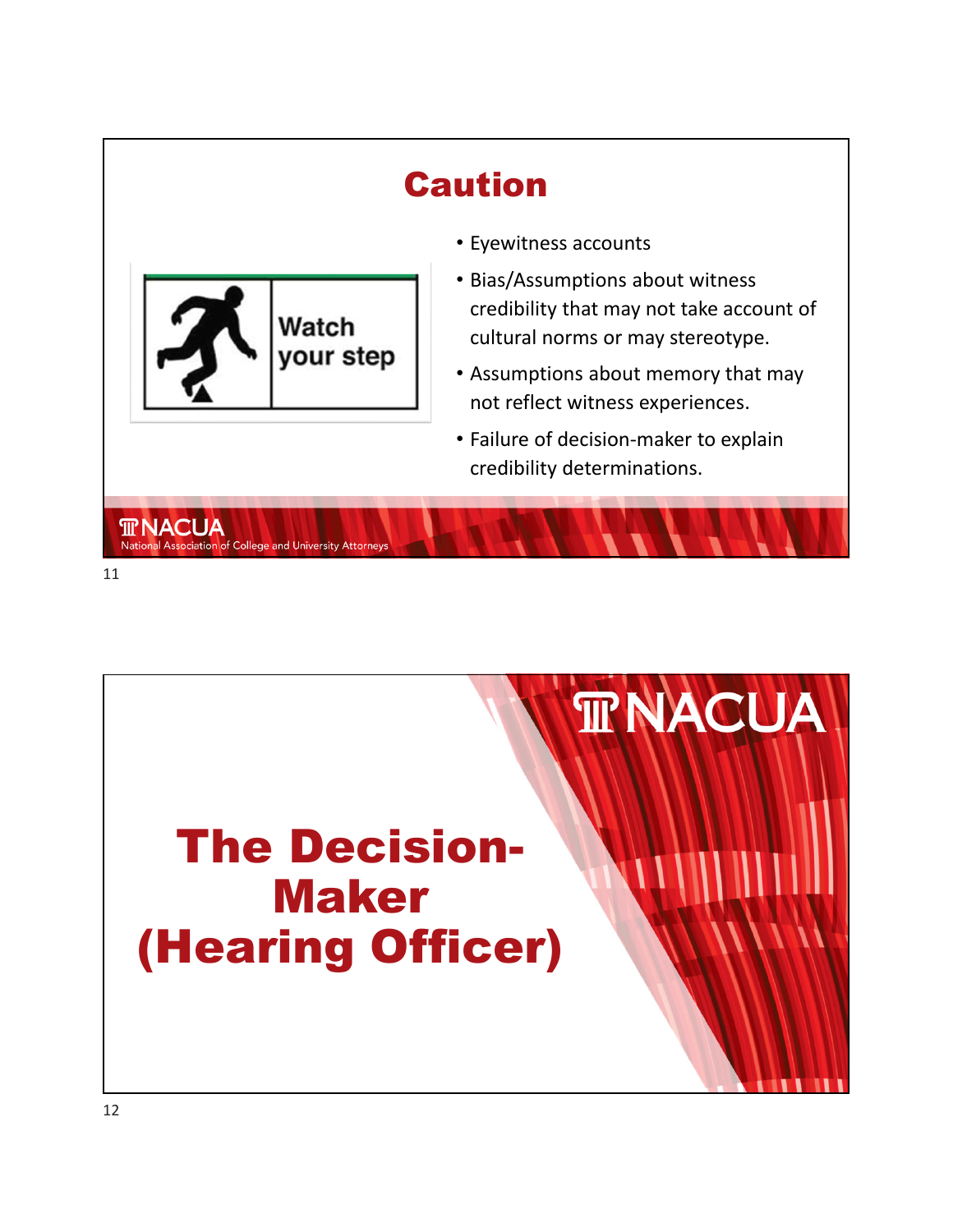### Caution • Eyewitness accounts • Bias/Assumptions about witness credibility that may not take account of Watch cultural norms or may stereotype. your step • Assumptions about memory that may not reflect witness experiences. • Failure of decision‐maker to explain credibility determinations. **TRNACUA** National Association of College and University Attorneys 11

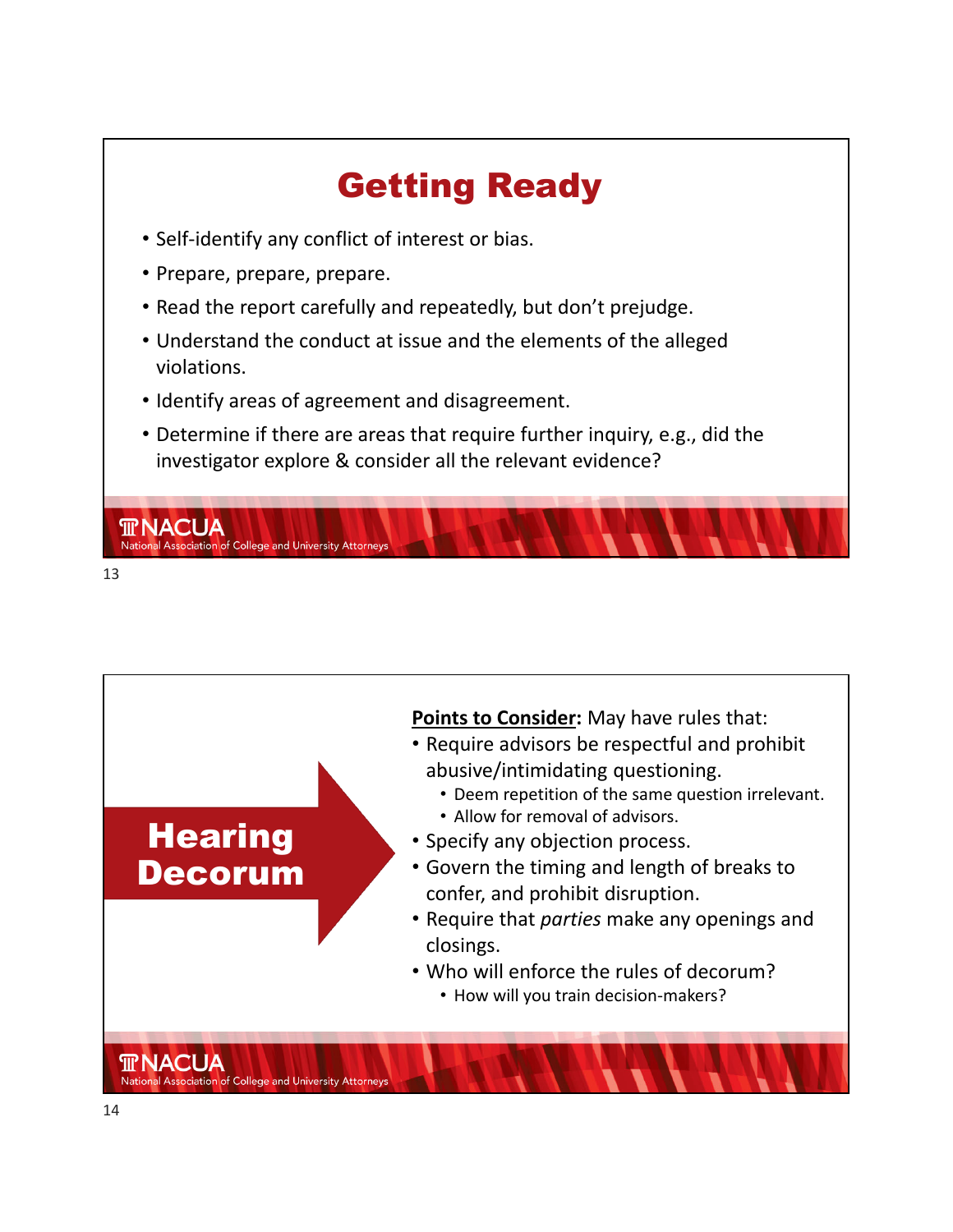

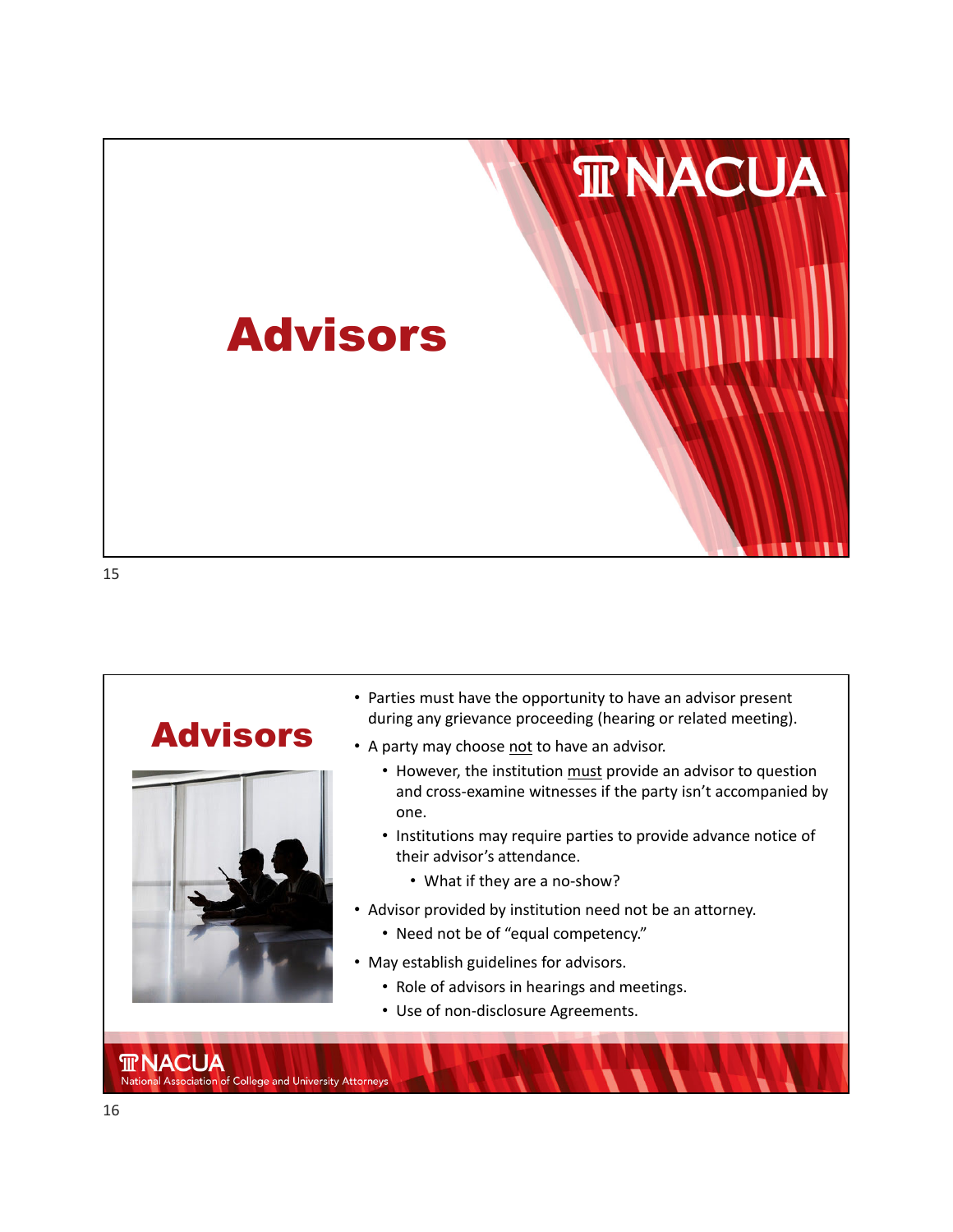

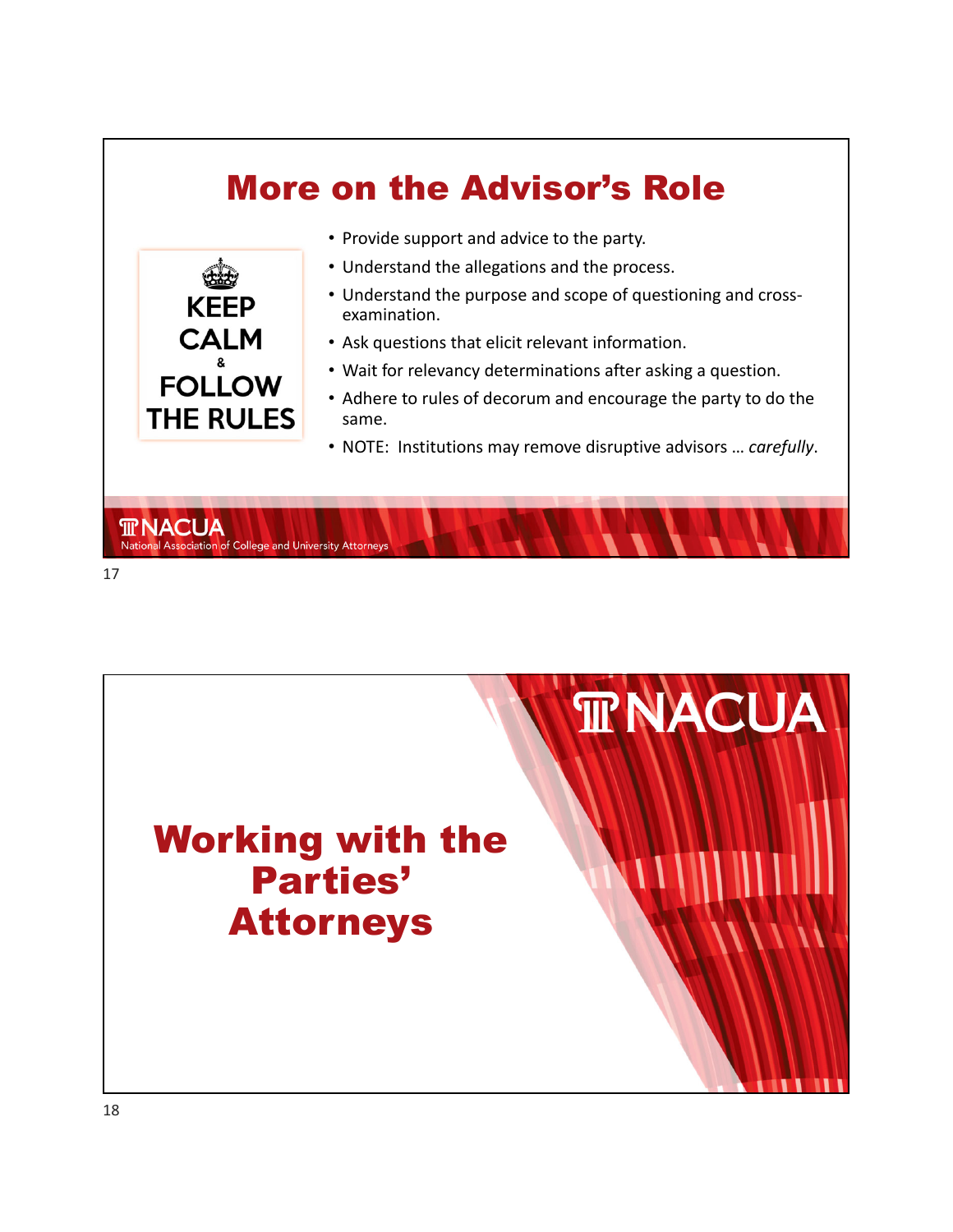

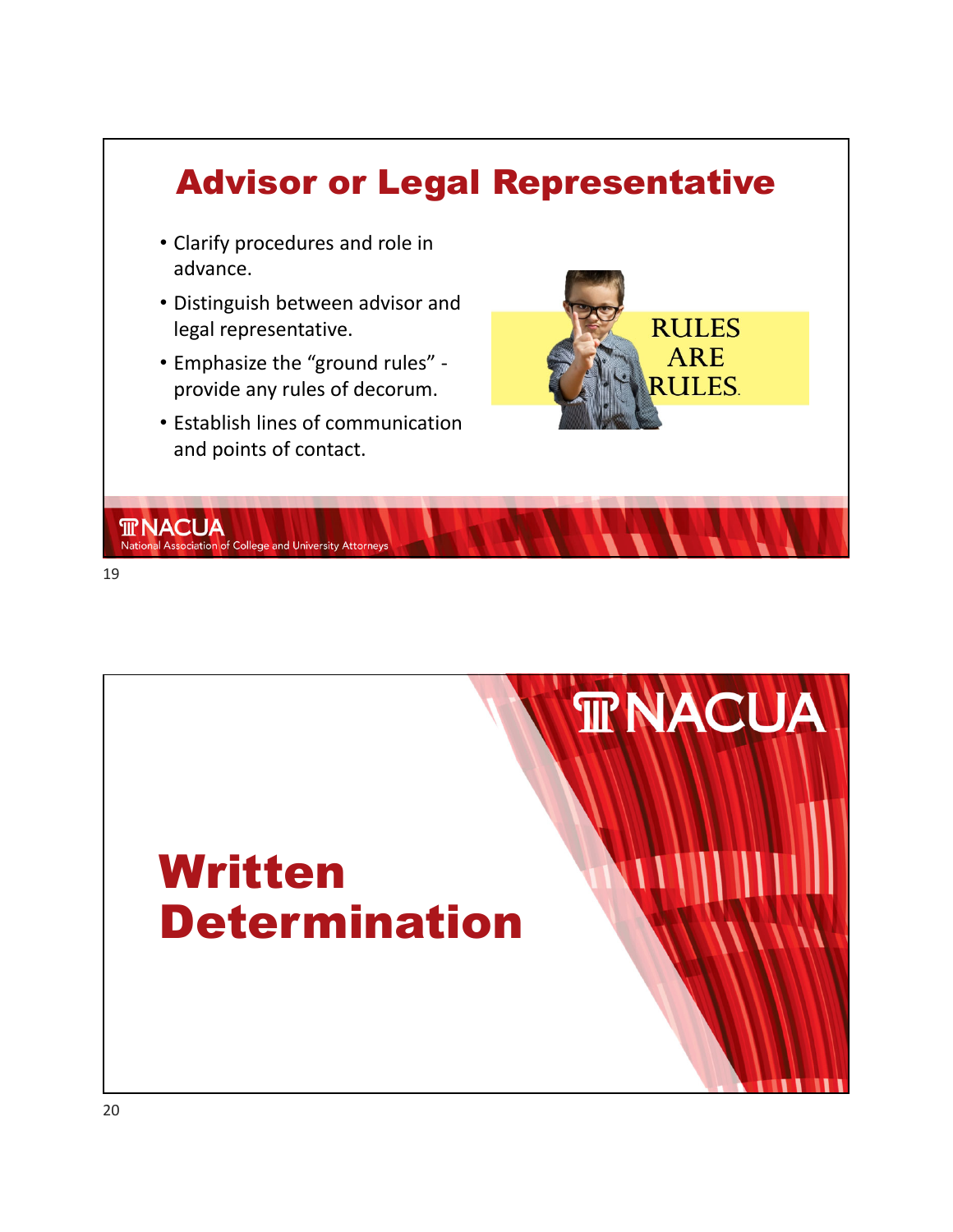



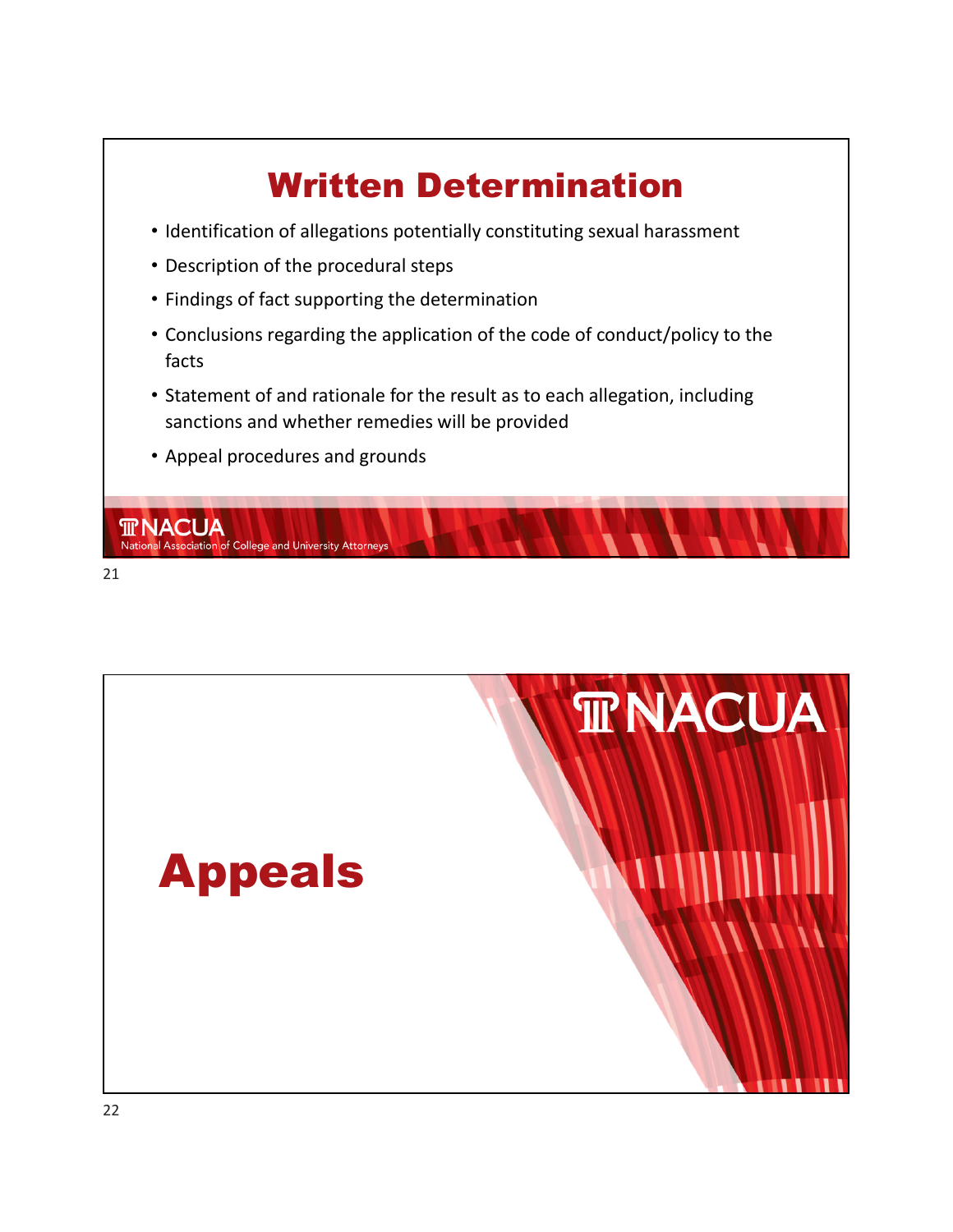



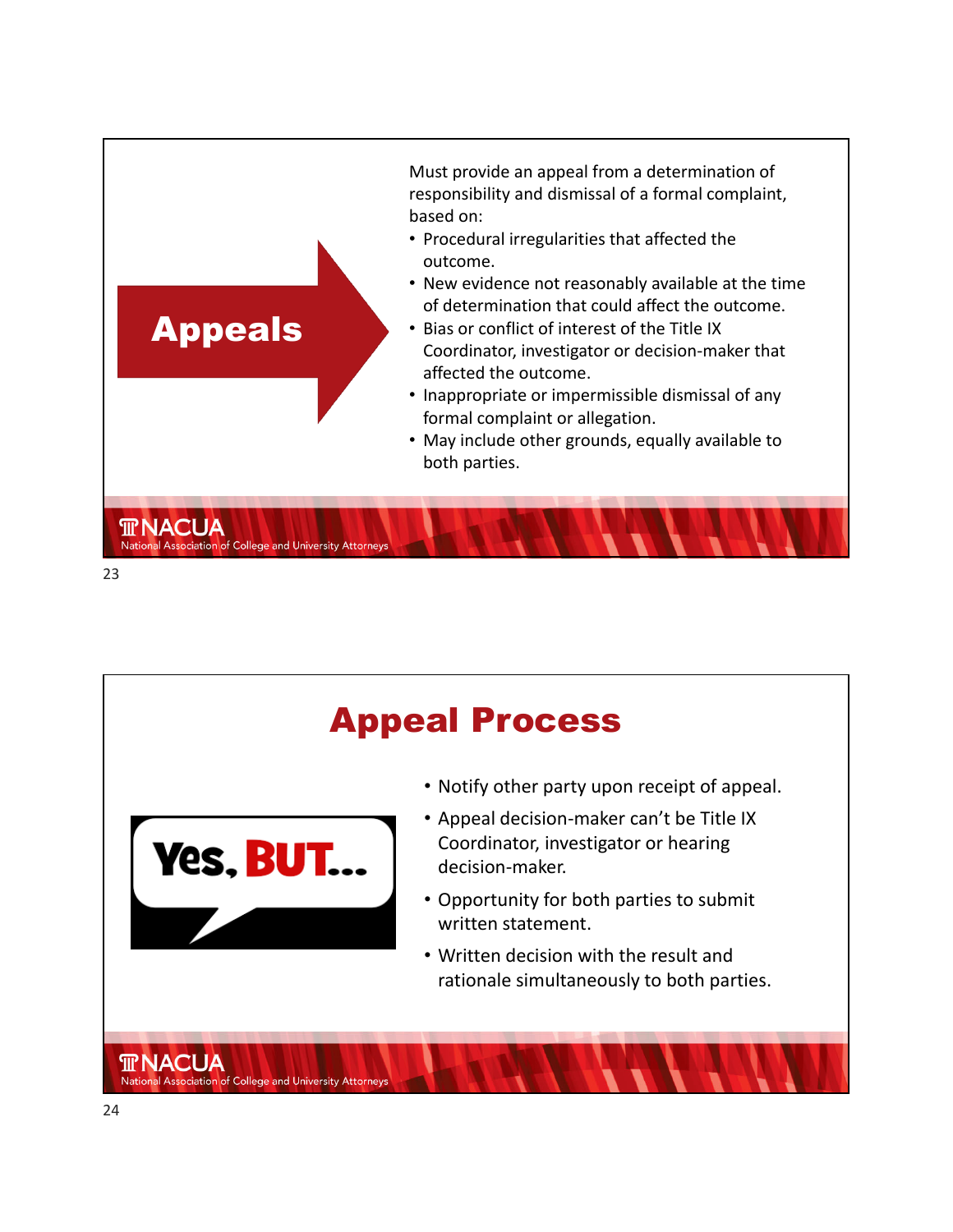